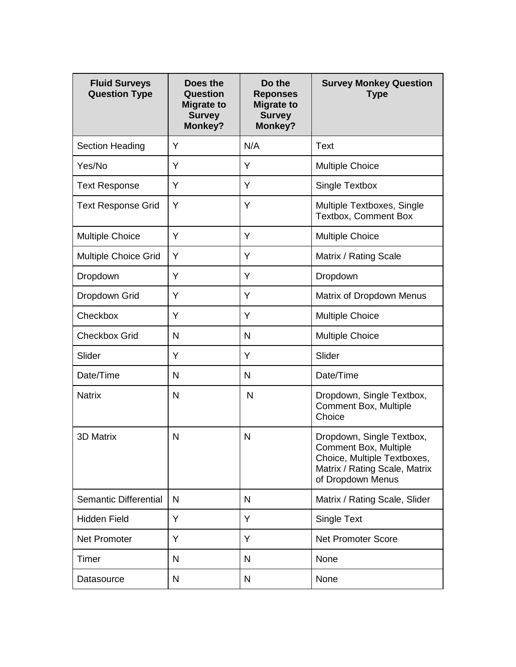| <b>Fluid Surveys</b><br><b>Question Type</b> | Does the<br><b>Question</b><br><b>Migrate to</b><br><b>Survey</b><br><b>Monkey?</b> | Do the<br><b>Reponses</b><br><b>Migrate to</b><br><b>Survey</b><br><b>Monkey?</b> | <b>Survey Monkey Question</b><br><b>Type</b>                                                                                                   |
|----------------------------------------------|-------------------------------------------------------------------------------------|-----------------------------------------------------------------------------------|------------------------------------------------------------------------------------------------------------------------------------------------|
| Section Heading                              | Y                                                                                   | N/A                                                                               | <b>Text</b>                                                                                                                                    |
| Yes/No                                       | Y                                                                                   | Y                                                                                 | <b>Multiple Choice</b>                                                                                                                         |
| <b>Text Response</b>                         | Y                                                                                   | Y                                                                                 | Single Textbox                                                                                                                                 |
| <b>Text Response Grid</b>                    | Y                                                                                   | Y                                                                                 | Multiple Textboxes, Single<br><b>Textbox, Comment Box</b>                                                                                      |
| <b>Multiple Choice</b>                       | Y                                                                                   | Y                                                                                 | <b>Multiple Choice</b>                                                                                                                         |
| <b>Multiple Choice Grid</b>                  | Y                                                                                   | Y                                                                                 | Matrix / Rating Scale                                                                                                                          |
| Dropdown                                     | Y                                                                                   | Y                                                                                 | Dropdown                                                                                                                                       |
| Dropdown Grid                                | Y                                                                                   | Y                                                                                 | Matrix of Dropdown Menus                                                                                                                       |
| Checkbox                                     | Y                                                                                   | Y                                                                                 | <b>Multiple Choice</b>                                                                                                                         |
| <b>Checkbox Grid</b>                         | $\mathsf{N}$                                                                        | N                                                                                 | <b>Multiple Choice</b>                                                                                                                         |
| Slider                                       | Y                                                                                   | Y                                                                                 | Slider                                                                                                                                         |
| Date/Time                                    | $\mathsf{N}$                                                                        | N                                                                                 | Date/Time                                                                                                                                      |
| <b>Natrix</b>                                | $\mathsf{N}$                                                                        | N                                                                                 | Dropdown, Single Textbox,<br><b>Comment Box, Multiple</b><br>Choice                                                                            |
| <b>3D Matrix</b>                             | N                                                                                   | N                                                                                 | Dropdown, Single Textbox,<br><b>Comment Box, Multiple</b><br>Choice, Multiple Textboxes,<br>Matrix / Rating Scale, Matrix<br>of Dropdown Menus |
| Semantic Differential                        | N                                                                                   | N                                                                                 | Matrix / Rating Scale, Slider                                                                                                                  |
| <b>Hidden Field</b>                          | Y                                                                                   | Y                                                                                 | <b>Single Text</b>                                                                                                                             |
| <b>Net Promoter</b>                          | Y                                                                                   | Y                                                                                 | <b>Net Promoter Score</b>                                                                                                                      |
| Timer                                        | N                                                                                   | N                                                                                 | None                                                                                                                                           |
| Datasource                                   | $\mathsf{N}$                                                                        | N                                                                                 | None                                                                                                                                           |